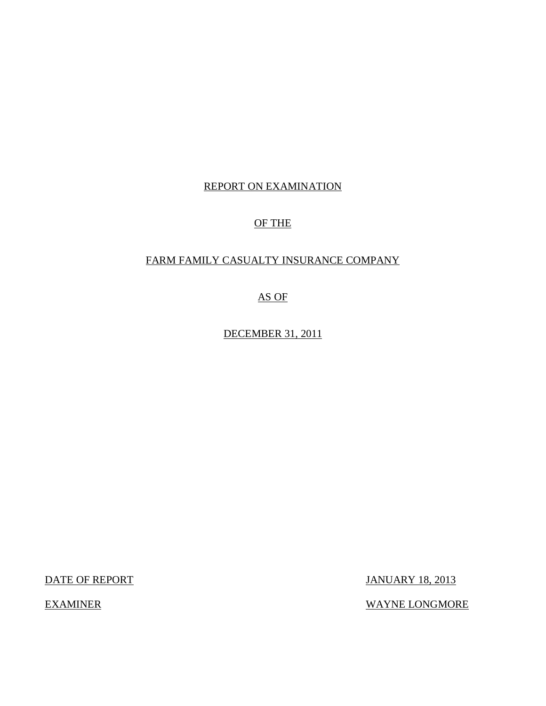### REPORT ON EXAMINATION

## OF THE

## FARM FAMILY CASUALTY INSURANCE COMPANY

AS OF

DECEMBER 31, 2011

DATE OF REPORT JANUARY 18, 2013

EXAMINER WAYNE LONGMORE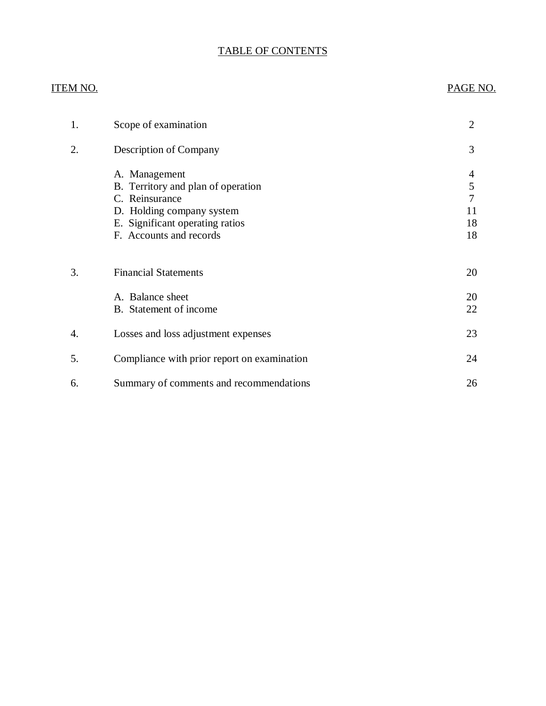### TABLE OF CONTENTS

# ITEM NO. PAGE NO. [1. Scope of examination 2](#page-3-0) [2. Description of Company 3](#page-4-0) [A. Management 4](#page-5-0) B. Territory and plan of operation 5<br>
C. Reinsurance 7 C. Reinsurance [D. Holding company system 11](#page-12-0) E. Significant operating ratios 18 F. Accounts and records 18 3. Financial Statements 20 A. Balance sheet 20 [B. Statement of income 22](#page-23-0) 4. Losses and loss adjustment expenses 23 [5. Compliance with prior report on examination 24](#page-25-0) 6. Summary of comments and recommendations 26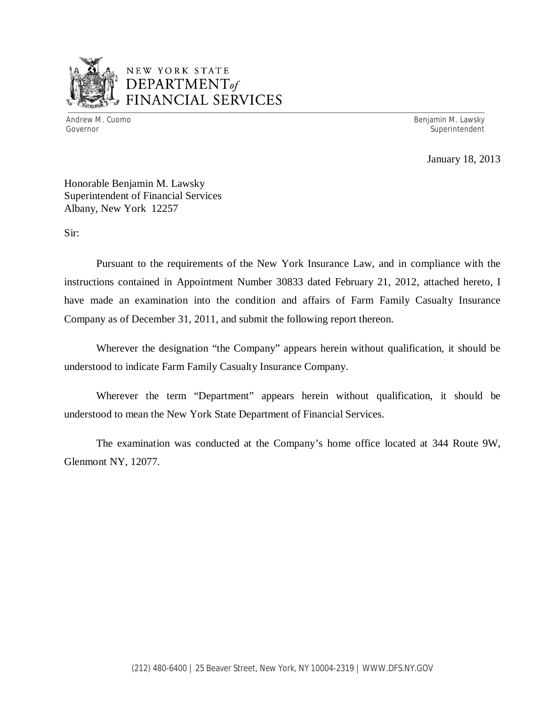

## NEW YORK STATE *DEPARTMENTof*  FINANCIAL SERVICES

Andrew M. Cuomo **Benjamin M. Lawsky** Governor Superintendent Superintendent Superintendent Superintendent Superintendent Superintendent Superintendent

January 18, 2013

Honorable Benjamin M. Lawsky Superintendent of Financial Services Albany, New York 12257

Sir:

Pursuant to the requirements of the New York Insurance Law, and in compliance with the instructions contained in Appointment Number 30833 dated February 21, 2012, attached hereto, I have made an examination into the condition and affairs of Farm Family Casualty Insurance Company as of December 31, 2011, and submit the following report thereon.

Wherever the designation "the Company" appears herein without qualification, it should be understood to indicate Farm Family Casualty Insurance Company.

Wherever the term "Department" appears herein without qualification, it should be understood to mean the New York State Department of Financial Services.

The examination was conducted at the Company's home office located at 344 Route 9W, Glenmont NY, 12077.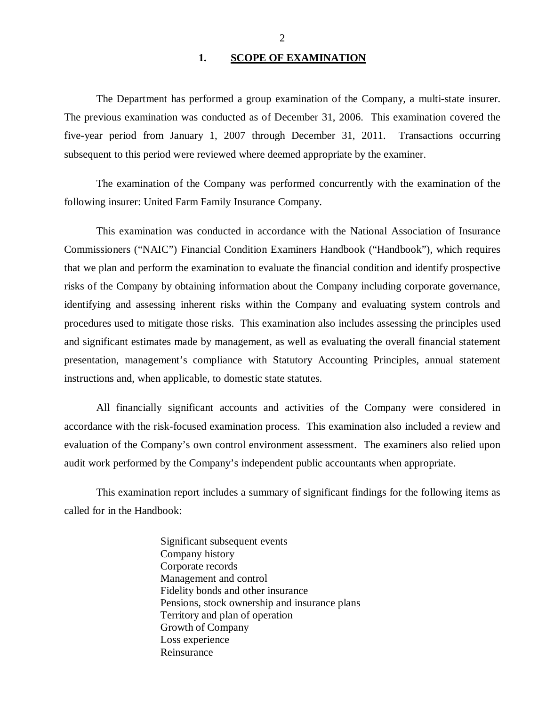### 1. SCOPE OF EXAMINATION

<span id="page-3-0"></span>The Department has performed a group examination of the Company*,* a multi-state insurer. The previous examination was conducted as of December 31, 2006. This examination covered the five-year period from January 1, 2007 through December 31, 2011. Transactions occurring subsequent to this period were reviewed where deemed appropriate by the examiner.

The examination of the Company was performed concurrently with the examination of the following insurer: United Farm Family Insurance Company.

This examination was conducted in accordance with the National Association of Insurance Commissioners ("NAIC") Financial Condition Examiners Handbook ("Handbook"), which requires that we plan and perform the examination to evaluate the financial condition and identify prospective risks of the Company by obtaining information about the Company including corporate governance, identifying and assessing inherent risks within the Company and evaluating system controls and procedures used to mitigate those risks. This examination also includes assessing the principles used and significant estimates made by management, as well as evaluating the overall financial statement presentation, management's compliance with Statutory Accounting Principles, annual statement instructions and, when applicable, to domestic state statutes.

All financially significant accounts and activities of the Company were considered in accordance with the risk-focused examination process. This examination also included a review and evaluation of the Company's own control environment assessment. The examiners also relied upon audit work performed by the Company's independent public accountants when appropriate.

This examination report includes a summary of significant findings for the following items as called for in the Handbook:

> Significant subsequent events Company history Corporate records Management and control Fidelity bonds and other insurance Pensions, stock ownership and insurance plans Territory and plan of operation Growth of Company Loss experience Reinsurance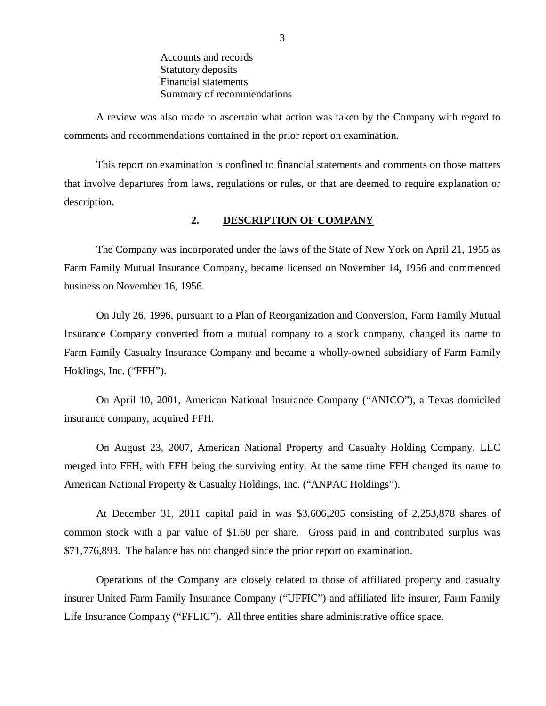Accounts and records Statutory deposits Financial statements Summary of recommendations

<span id="page-4-0"></span>A review was also made to ascertain what action was taken by the Company with regard to comments and recommendations contained in the prior report on examination.

This report on examination is confined to financial statements and comments on those matters that involve departures from laws, regulations or rules, or that are deemed to require explanation or description.

### **2. DESCRIPTION OF COMPANY**

The Company was incorporated under the laws of the State of New York on April 21, 1955 as Farm Family Mutual Insurance Company, became licensed on November 14, 1956 and commenced business on November 16, 1956.

On July 26, 1996, pursuant to a Plan of Reorganization and Conversion, Farm Family Mutual Insurance Company converted from a mutual company to a stock company, changed its name to Farm Family Casualty Insurance Company and became a wholly-owned subsidiary of Farm Family Holdings, Inc. ("FFH").

On April 10, 2001, American National Insurance Company ("ANICO"), a Texas domiciled insurance company, acquired FFH.

On August 23, 2007, American National Property and Casualty Holding Company, LLC merged into FFH, with FFH being the surviving entity. At the same time FFH changed its name to American National Property & Casualty Holdings, Inc. ("ANPAC Holdings").

At December 31, 2011 capital paid in was \$3,606,205 consisting of 2,253,878 shares of common stock with a par value of \$1.60 per share. Gross paid in and contributed surplus was \$71,776,893. The balance has not changed since the prior report on examination.

Operations of the Company are closely related to those of affiliated property and casualty insurer United Farm Family Insurance Company ("UFFIC") and affiliated life insurer, Farm Family Life Insurance Company ("FFLIC"). All three entities share administrative office space.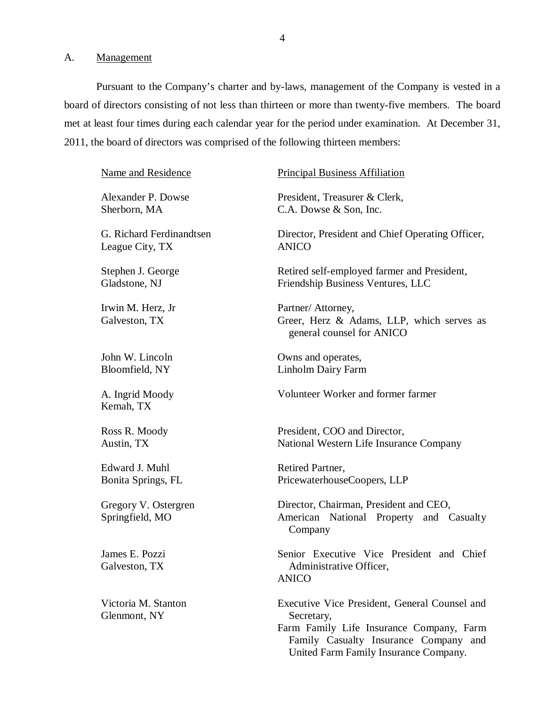<span id="page-5-0"></span>A. Management

Pursuant to the Company's charter and by-laws, management of the Company is vested in a board of directors consisting of not less than thirteen or more than twenty-five members. The board met at least four times during each calendar year for the period under examination. At December 31, 2011, the board of directors was comprised of the following thirteen members:

Name and Residence Alexander P. Dowse Sherborn, MA G. Richard Ferdinandtsen League City, TX Stephen J. George Gladstone, NJ Irwin M. Herz, Jr Galveston, TX John W. Lincoln Bloomfield, NY A. Ingrid Moody Kemah, TX Ross R. Moody Austin, TX Edward J. Muhl Bonita Springs, FL Gregory V. Ostergren Springfield, MO James E. Pozzi Galveston, TX Victoria M. Stanton Glenmont, NY Principal Business Affiliation President, Treasurer & Clerk, C.A. Dowse & Son, Inc. Director, President and Chief Operating Officer, ANICO Retired self-employed farmer and President, Friendship Business Ventures, LLC Partner/ Attorney, Greer, Herz & Adams, LLP, which serves as general counsel for ANICO Owns and operates, Linholm Dairy Farm Volunteer Worker and former farmer President, COO and Director, National Western Life Insurance Company Retired Partner, PricewaterhouseCoopers, LLP Director, Chairman, President and CEO, American National Property and Casualty Company Senior Executive Vice President and Chief Administrative Officer, ANICO Executive Vice President, General Counsel and Secretary, Farm Family Life Insurance Company, Farm Family Casualty Insurance Company and United Farm Family Insurance Company.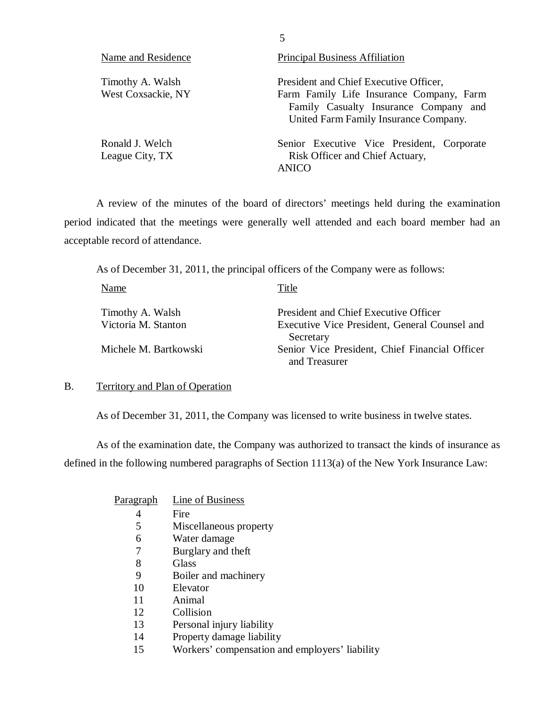| Name and Residence                     | <b>Principal Business Affiliation</b>                                                                                                                                |  |  |  |
|----------------------------------------|----------------------------------------------------------------------------------------------------------------------------------------------------------------------|--|--|--|
| Timothy A. Walsh<br>West Coxsackie, NY | President and Chief Executive Officer,<br>Farm Family Life Insurance Company, Farm<br>Family Casualty Insurance Company and<br>United Farm Family Insurance Company. |  |  |  |
| Ronald J. Welch<br>League City, TX     | Senior Executive Vice President, Corporate<br>Risk Officer and Chief Actuary,<br>ANICO                                                                               |  |  |  |

5

A review of the minutes of the board of directors' meetings held during the examination period indicated that the meetings were generally well attended and each board member had an acceptable record of attendance.

As of December 31, 2011, the principal officers of the Company were as follows:

| Name                  | Title                                          |
|-----------------------|------------------------------------------------|
| Timothy A. Walsh      | President and Chief Executive Officer          |
| Victoria M. Stanton   | Executive Vice President, General Counsel and  |
|                       | Secretary                                      |
| Michele M. Bartkowski | Senior Vice President, Chief Financial Officer |
|                       | and Treasurer                                  |

### B. Territory and Plan of Operation

As of December 31, 2011, the Company was licensed to write business in twelve states.

As of the examination date, the Company was authorized to transact the kinds of insurance as defined in the following numbered paragraphs of Section 1113(a) of the New York Insurance Law:

| Paragraph | Line of Business                               |
|-----------|------------------------------------------------|
| 4         | Fire                                           |
| 5         | Miscellaneous property                         |
| 6         | Water damage                                   |
| 7         | Burglary and theft                             |
| 8         | Glass                                          |
| 9         | Boiler and machinery                           |
| 10        | Elevator                                       |
| 11        | Animal                                         |
| 12        | Collision                                      |
| 13        | Personal injury liability                      |
| 14        | Property damage liability                      |
| 15        | Workers' compensation and employers' liability |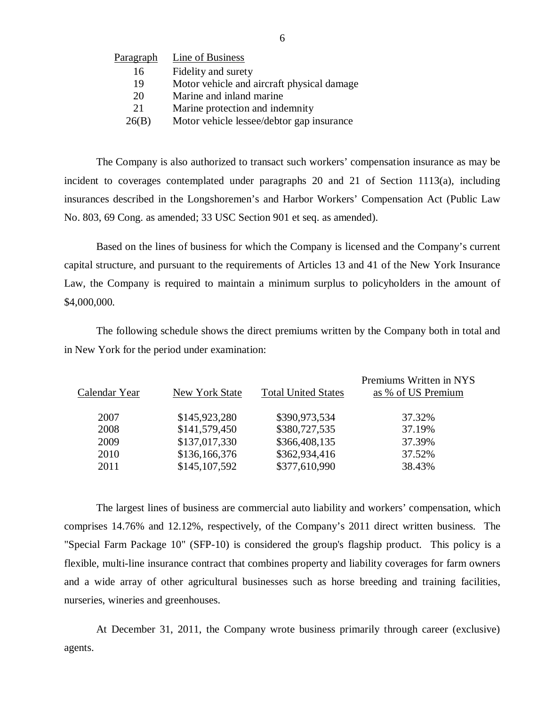| Paragraph | Line of Business                           |
|-----------|--------------------------------------------|
| 16        | Fidelity and surety                        |
| 19        | Motor vehicle and aircraft physical damage |
| 20        | Marine and inland marine                   |
| 21        | Marine protection and indemnity            |
| 26(B)     | Motor vehicle lessee/debtor gap insurance  |

The Company is also authorized to transact such workers' compensation insurance as may be incident to coverages contemplated under paragraphs 20 and 21 of Section 1113(a), including insurances described in the Longshoremen's and Harbor Workers' Compensation Act (Public Law No. 803, 69 Cong. as amended; 33 USC Section 901 et seq. as amended).

Based on the lines of business for which the Company is licensed and the Company's current capital structure, and pursuant to the requirements of Articles 13 and 41 of the New York Insurance Law, the Company is required to maintain a minimum surplus to policyholders in the amount of \$4,000,000.

The following schedule shows the direct premiums written by the Company both in total and in New York for the period under examination:

| Calendar Year | New York State | <b>Total United States</b> | Premiums Written in NYS<br>as % of US Premium |
|---------------|----------------|----------------------------|-----------------------------------------------|
| 2007          | \$145,923,280  | \$390,973,534              | 37.32%                                        |
| 2008          | \$141,579,450  | \$380,727,535              | 37.19%                                        |
| 2009          | \$137,017,330  | \$366,408,135              | 37.39%                                        |
| 2010          | \$136,166,376  | \$362,934,416              | 37.52%                                        |
| 2011          | \$145,107,592  | \$377,610,990              | 38.43%                                        |
|               |                |                            |                                               |

The largest lines of business are commercial auto liability and workers' compensation, which comprises 14.76% and 12.12%, respectively, of the Company's 2011 direct written business. The "Special Farm Package 10" (SFP-10) is considered the group's flagship product. This policy is a flexible, multi-line insurance contract that combines property and liability coverages for farm owners and a wide array of other agricultural businesses such as horse breeding and training facilities, nurseries, wineries and greenhouses.

At December 31, 2011, the Company wrote business primarily through career (exclusive) agents.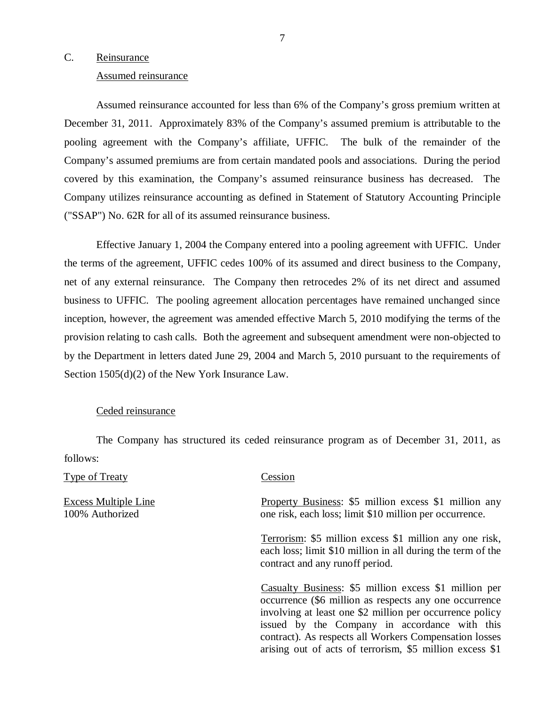### <span id="page-8-0"></span>C. Reinsurance

### Assumed reinsurance

Assumed reinsurance accounted for less than 6% of the Company's gross premium written at December 31, 2011. Approximately 83% of the Company's assumed premium is attributable to the pooling agreement with the Company's affiliate, UFFIC. The bulk of the remainder of the Company's assumed premiums are from certain mandated pools and associations. During the period covered by this examination, the Company's assumed reinsurance business has decreased. The Company utilizes reinsurance accounting as defined in Statement of Statutory Accounting Principle ("SSAP") No. 62R for all of its assumed reinsurance business.

Effective January 1, 2004 the Company entered into a pooling agreement with UFFIC. Under the terms of the agreement, UFFIC cedes 100% of its assumed and direct business to the Company, net of any external reinsurance. The Company then retrocedes 2% of its net direct and assumed business to UFFIC. The pooling agreement allocation percentages have remained unchanged since inception, however, the agreement was amended effective March 5, 2010 modifying the terms of the provision relating to cash calls. Both the agreement and subsequent amendment were non-objected to by the Department in letters dated June 29, 2004 and March 5, 2010 pursuant to the requirements of Section 1505(d)(2) of the New York Insurance Law.

### Ceded reinsurance

The Company has structured its ceded reinsurance program as of December 31, 2011, as follows:

Type of Treaty Cession

Excess Multiple Line **Property Business: \$5 million excess \$1 million any** 100% Authorized one risk, each loss; limit \$10 million per occurrence.

> Terrorism: \$5 million excess \$1 million any one risk, each loss; limit \$10 million in all during the term of the contract and any runoff period.

> Casualty Business: \$5 million excess \$1 million per occurrence (\$6 million as respects any one occurrence involving at least one \$2 million per occurrence policy issued by the Company in accordance with this contract). As respects all Workers Compensation losses arising out of acts of terrorism, \$5 million excess \$1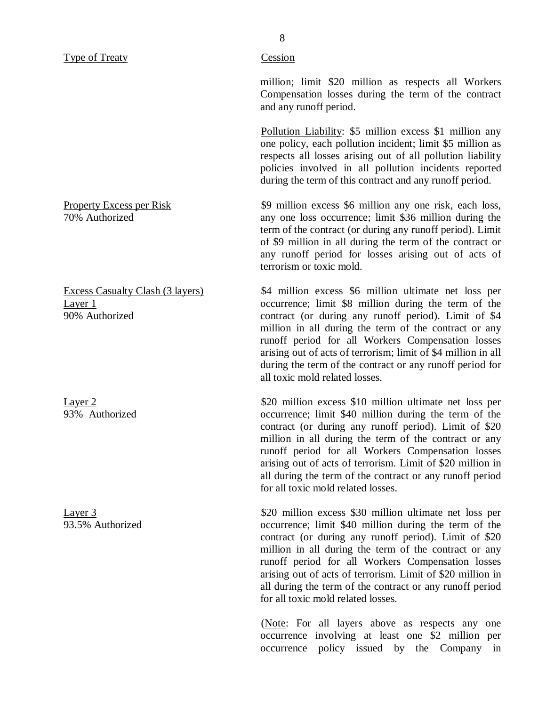#### Type of Treaty Cession

million; limit \$20 million as respects all Workers Compensation losses during the term of the contract and any runoff period.

Pollution Liability: \$5 million excess \$1 million any one policy, each pollution incident; limit \$5 million as respects all losses arising out of all pollution liability policies involved in all pollution incidents reported during the term of this contract and any runoff period.

Property Excess per Risk  $\frac{9 \text{ million excess}}{9 \text{ million excess}}$  \$9 million excess \$6 million any one risk, each loss,  $\frac{1}{100}$  Authorized any one loss occurrence; limit \$36 million during the term of the contract (or during any runoff period). Limit of \$9 million in all during the term of the contract or any runoff period for losses arising out of acts of terrorism or toxic mold.

Excess Casualty Clash (3 layers) \$4 million excess \$6 million ultimate net loss per Layer 1 occurrence; limit \$8 million during the term of the 90% Authorized contract (or during any runoff period). Limit of \$4 million in all during the term of the contract or any runoff period for all Workers Compensation losses arising out of acts of terrorism; limit of \$4 million in all during the term of the contract or any runoff period for all toxic mold related losses.

Layer 2  $\frac{$20 \text{ million excess } $10 \text{ million ultimate net loss per}}$ 93% Authorized occurrence; limit \$40 million during the term of the contract (or during any runoff period). Limit of \$20 million in all during the term of the contract or any runoff period for all Workers Compensation losses arising out of acts of terrorism. Limit of \$20 million in all during the term of the contract or any runoff period for all toxic mold related losses.

Layer 3<br>
\$20 million excess \$30 million ultimate net loss per<br>
93.5% Authorized<br>  $\frac{1}{2}$  cocurrence: limit \$40 million during the term of the occurrence; limit \$40 million during the term of the contract (or during any runoff period). Limit of \$20 million in all during the term of the contract or any runoff period for all Workers Compensation losses arising out of acts of terrorism. Limit of \$20 million in all during the term of the contract or any runoff period for all toxic mold related losses.

> (Note: For all layers above as respects any one occurrence involving at least one \$2 million per occurrence policy issued by the Company in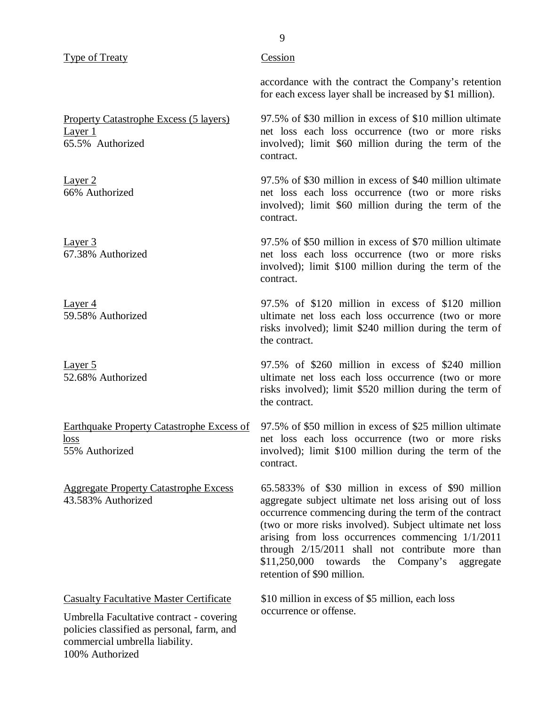### Type of Treaty

Property Catastrophe Excess (5 layers) Layer 1 65.5% Authorized

Layer 2 66% Authorized

Layer 3 67.38% Authorized

Layer 4 59.58% Authorized

Layer 5 52.68% Authorized

Earthquake Property Catastrophe Excess of loss 55% Authorized

Aggregate Property Catastrophe Excess 43.583% Authorized

Casualty Facultative Master Certificate

Umbrella Facultative contract - covering policies classified as personal, farm, and commercial umbrella liability. 100% Authorized

### **Cession**

accordance with the contract the Company's retention for each excess layer shall be increased by \$1 million).

97.5% of \$30 million in excess of \$10 million ultimate net loss each loss occurrence (two or more risks involved); limit \$60 million during the term of the contract.

97.5% of \$30 million in excess of \$40 million ultimate net loss each loss occurrence (two or more risks involved); limit \$60 million during the term of the contract.

97.5% of \$50 million in excess of \$70 million ultimate net loss each loss occurrence (two or more risks involved); limit \$100 million during the term of the contract.

97.5% of \$120 million in excess of \$120 million ultimate net loss each loss occurrence (two or more risks involved); limit \$240 million during the term of the contract.

97.5% of \$260 million in excess of \$240 million ultimate net loss each loss occurrence (two or more risks involved); limit \$520 million during the term of the contract.

97.5% of \$50 million in excess of \$25 million ultimate net loss each loss occurrence (two or more risks involved); limit \$100 million during the term of the contract.

65.5833% of \$30 million in excess of \$90 million aggregate subject ultimate net loss arising out of loss occurrence commencing during the term of the contract (two or more risks involved). Subject ultimate net loss arising from loss occurrences commencing 1/1/2011 through 2/15/2011 shall not contribute more than \$11,250,000 towards the Company's aggregate retention of \$90 million.

\$10 million in excess of \$5 million, each loss occurrence or offense.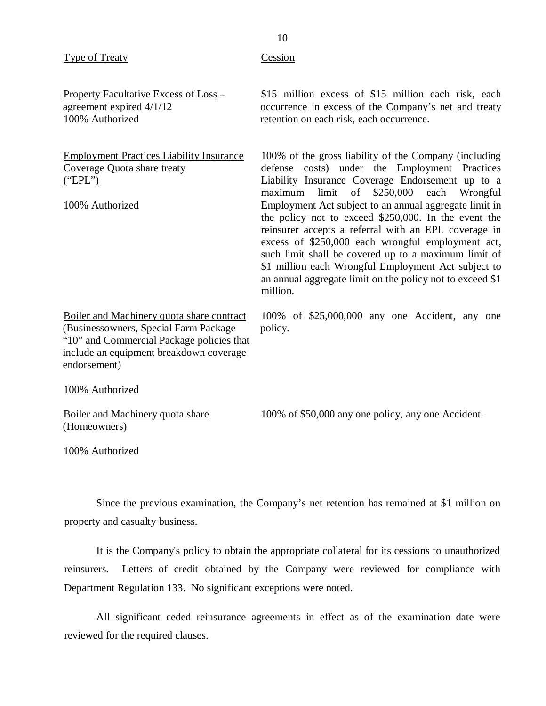| <b>Type of Treaty</b>                                                                                                                                                                      | Cession                                                                                                                                                                                                                                                                                                                                                                                                                                                                                                                                                                                                                                      |
|--------------------------------------------------------------------------------------------------------------------------------------------------------------------------------------------|----------------------------------------------------------------------------------------------------------------------------------------------------------------------------------------------------------------------------------------------------------------------------------------------------------------------------------------------------------------------------------------------------------------------------------------------------------------------------------------------------------------------------------------------------------------------------------------------------------------------------------------------|
| Property Facultative Excess of Loss -<br>agreement expired 4/1/12<br>100% Authorized                                                                                                       | \$15 million excess of \$15 million each risk, each<br>occurrence in excess of the Company's net and treaty<br>retention on each risk, each occurrence.                                                                                                                                                                                                                                                                                                                                                                                                                                                                                      |
| <b>Employment Practices Liability Insurance</b><br>Coverage Quota share treaty<br>("EPL")<br>100% Authorized                                                                               | 100% of the gross liability of the Company (including<br>defense costs) under the Employment Practices<br>Liability Insurance Coverage Endorsement up to a<br>limit<br>of<br>\$250,000<br>each<br>Wrongful<br>maximum<br>Employment Act subject to an annual aggregate limit in<br>the policy not to exceed \$250,000. In the event the<br>reinsurer accepts a referral with an EPL coverage in<br>excess of \$250,000 each wrongful employment act,<br>such limit shall be covered up to a maximum limit of<br>\$1 million each Wrongful Employment Act subject to<br>an annual aggregate limit on the policy not to exceed \$1<br>million. |
| Boiler and Machinery quota share contract<br>(Businessowners, Special Farm Package<br>"10" and Commercial Package policies that<br>include an equipment breakdown coverage<br>endorsement) | 100% of \$25,000,000 any one Accident, any one<br>policy.                                                                                                                                                                                                                                                                                                                                                                                                                                                                                                                                                                                    |
| 100% Authorized                                                                                                                                                                            |                                                                                                                                                                                                                                                                                                                                                                                                                                                                                                                                                                                                                                              |
| Boiler and Machinery quota share<br>(Homeowners)                                                                                                                                           | 100% of \$50,000 any one policy, any one Accident.                                                                                                                                                                                                                                                                                                                                                                                                                                                                                                                                                                                           |
| 100% Authorized                                                                                                                                                                            |                                                                                                                                                                                                                                                                                                                                                                                                                                                                                                                                                                                                                                              |

Since the previous examination, the Company's net retention has remained at \$1 million on property and casualty business.

It is the Company's policy to obtain the appropriate collateral for its cessions to unauthorized reinsurers. Letters of credit obtained by the Company were reviewed for compliance with Department Regulation 133. No significant exceptions were noted.

All significant ceded reinsurance agreements in effect as of the examination date were reviewed for the required clauses.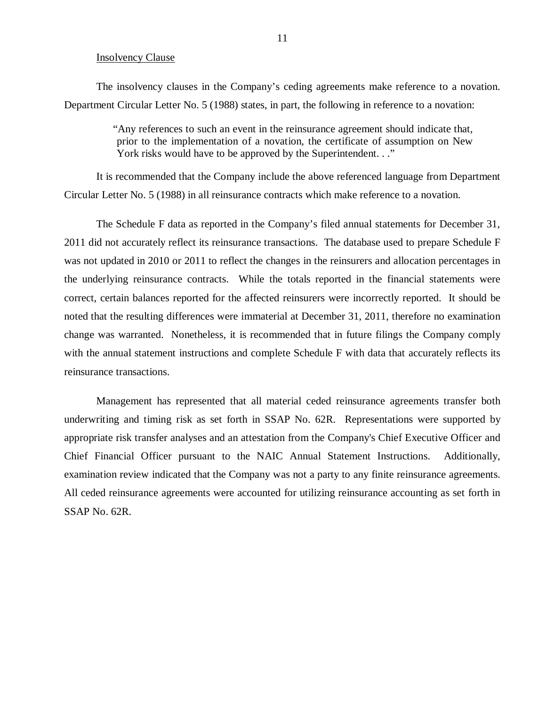#### Insolvency Clause

<span id="page-12-0"></span>The insolvency clauses in the Company's ceding agreements make reference to a novation. Department Circular Letter No. 5 (1988) states, in part, the following in reference to a novation:

> "Any references to such an event in the reinsurance agreement should indicate that, prior to the implementation of a novation, the certificate of assumption on New York risks would have to be approved by the Superintendent. . ."

It is recommended that the Company include the above referenced language from Department Circular Letter No. 5 (1988) in all reinsurance contracts which make reference to a novation.

The Schedule F data as reported in the Company's filed annual statements for December 31, 2011 did not accurately reflect its reinsurance transactions. The database used to prepare Schedule F was not updated in 2010 or 2011 to reflect the changes in the reinsurers and allocation percentages in the underlying reinsurance contracts. While the totals reported in the financial statements were correct, certain balances reported for the affected reinsurers were incorrectly reported. It should be noted that the resulting differences were immaterial at December 31, 2011, therefore no examination change was warranted. Nonetheless, it is recommended that in future filings the Company comply with the annual statement instructions and complete Schedule F with data that accurately reflects its reinsurance transactions.

Management has represented that all material ceded reinsurance agreements transfer both underwriting and timing risk as set forth in SSAP No. 62R. Representations were supported by appropriate risk transfer analyses and an attestation from the Company's Chief Executive Officer and Chief Financial Officer pursuant to the NAIC Annual Statement Instructions. Additionally, examination review indicated that the Company was not a party to any finite reinsurance agreements. All ceded reinsurance agreements were accounted for utilizing reinsurance accounting as set forth in SSAP No. 62R.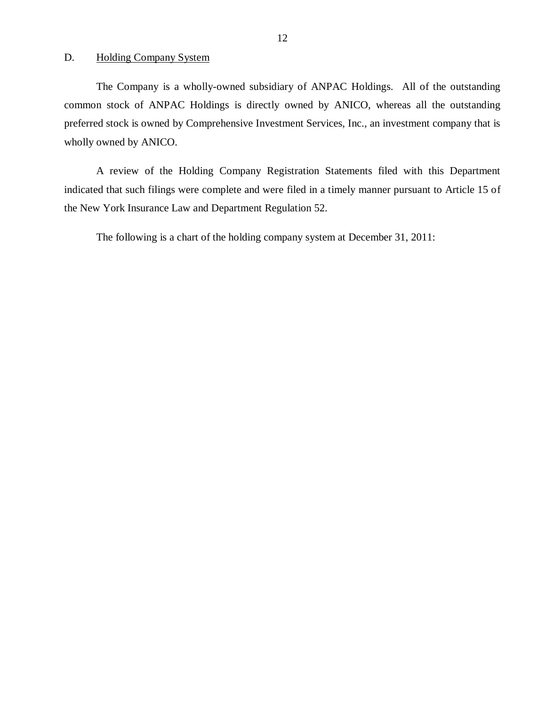D. Holding Company System

The Company is a wholly-owned subsidiary of ANPAC Holdings. All of the outstanding common stock of ANPAC Holdings is directly owned by ANICO, whereas all the outstanding preferred stock is owned by Comprehensive Investment Services, Inc., an investment company that is wholly owned by ANICO.

A review of the Holding Company Registration Statements filed with this Department indicated that such filings were complete and were filed in a timely manner pursuant to Article 15 of the New York Insurance Law and Department Regulation 52.

The following is a chart of the holding company system at December 31, 2011: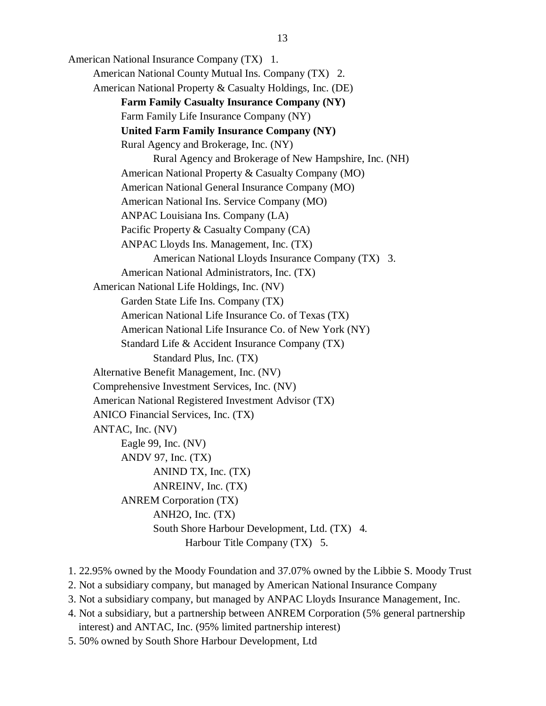American National Insurance Company (TX) 1. American National County Mutual Ins. Company (TX) 2. American National Property & Casualty Holdings, Inc. (DE) **Farm Family Casualty Insurance Company (NY)**  Farm Family Life Insurance Company (NY) **United Farm Family Insurance Company (NY)**  Rural Agency and Brokerage, Inc. (NY) Rural Agency and Brokerage of New Hampshire, Inc. (NH) American National Property & Casualty Company (MO) American National General Insurance Company (MO) American National Ins. Service Company (MO) ANPAC Louisiana Ins. Company (LA) Pacific Property & Casualty Company (CA) ANPAC Lloyds Ins. Management, Inc. (TX) American National Lloyds Insurance Company (TX) 3. American National Administrators, Inc. (TX) American National Life Holdings, Inc. (NV) Garden State Life Ins. Company (TX) American National Life Insurance Co. of Texas (TX) American National Life Insurance Co. of New York (NY) Standard Life & Accident Insurance Company (TX) Standard Plus, Inc. (TX) Alternative Benefit Management, Inc. (NV) Comprehensive Investment Services, Inc. (NV) American National Registered Investment Advisor (TX) ANICO Financial Services, Inc. (TX) ANTAC, Inc. (NV) Eagle 99, Inc. (NV) ANDV 97, Inc. (TX) ANIND TX, Inc. (TX) ANREINV, Inc. (TX) ANREM Corporation (TX) ANH2O, Inc. (TX) South Shore Harbour Development, Ltd. (TX) 4. Harbour Title Company (TX) 5.

- 1. 22.95% owned by the Moody Foundation and 37.07% owned by the Libbie S. Moody Trust
- 2. Not a subsidiary company, but managed by American National Insurance Company
- 3. Not a subsidiary company, but managed by ANPAC Lloyds Insurance Management, Inc.
- 4. Not a subsidiary, but a partnership between ANREM Corporation (5% general partnership interest) and ANTAC, Inc. (95% limited partnership interest)
- 5. 50% owned by South Shore Harbour Development, Ltd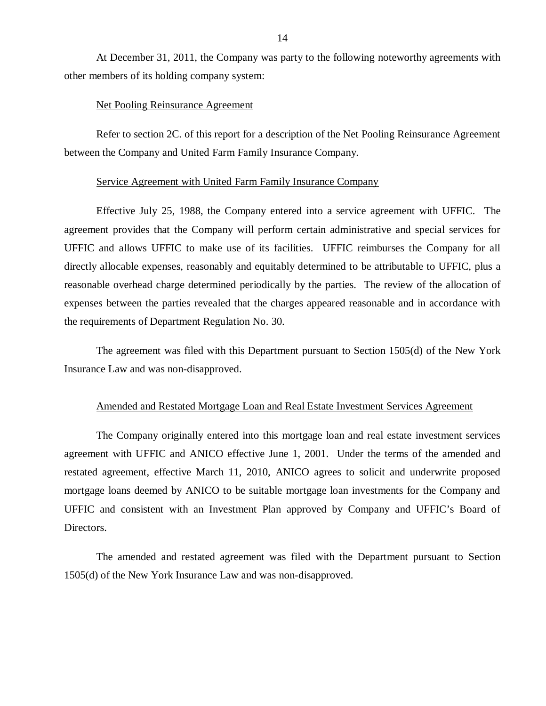At December 31, 2011, the Company was party to the following noteworthy agreements with other members of its holding company system:

### Net Pooling Reinsurance Agreement

Refer to section 2C. of this report for a description of the Net Pooling Reinsurance Agreement between the Company and United Farm Family Insurance Company.

#### Service Agreement with United Farm Family Insurance Company

Effective July 25, 1988, the Company entered into a service agreement with UFFIC. The agreement provides that the Company will perform certain administrative and special services for UFFIC and allows UFFIC to make use of its facilities. UFFIC reimburses the Company for all directly allocable expenses, reasonably and equitably determined to be attributable to UFFIC, plus a reasonable overhead charge determined periodically by the parties. The review of the allocation of expenses between the parties revealed that the charges appeared reasonable and in accordance with the requirements of Department Regulation No. 30.

The agreement was filed with this Department pursuant to Section 1505(d) of the New York Insurance Law and was non-disapproved.

### Amended and Restated Mortgage Loan and Real Estate Investment Services Agreement

The Company originally entered into this mortgage loan and real estate investment services agreement with UFFIC and ANICO effective June 1, 2001. Under the terms of the amended and restated agreement, effective March 11, 2010, ANICO agrees to solicit and underwrite proposed mortgage loans deemed by ANICO to be suitable mortgage loan investments for the Company and UFFIC and consistent with an Investment Plan approved by Company and UFFIC's Board of Directors.

The amended and restated agreement was filed with the Department pursuant to Section 1505(d) of the New York Insurance Law and was non-disapproved.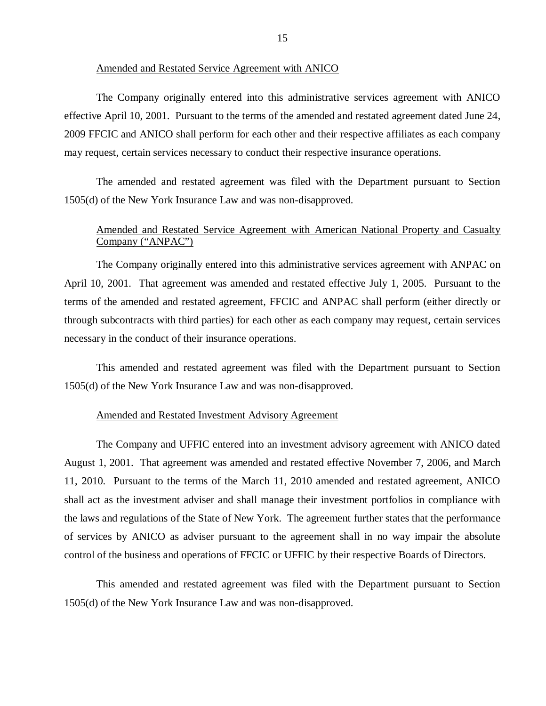### Amended and Restated Service Agreement with ANICO

The Company originally entered into this administrative services agreement with ANICO effective April 10, 2001. Pursuant to the terms of the amended and restated agreement dated June 24, 2009 FFCIC and ANICO shall perform for each other and their respective affiliates as each company may request, certain services necessary to conduct their respective insurance operations.

The amended and restated agreement was filed with the Department pursuant to Section 1505(d) of the New York Insurance Law and was non-disapproved.

### Amended and Restated Service Agreement with American National Property and Casualty Company ("ANPAC")

The Company originally entered into this administrative services agreement with ANPAC on April 10, 2001. That agreement was amended and restated effective July 1, 2005. Pursuant to the terms of the amended and restated agreement, FFCIC and ANPAC shall perform (either directly or through subcontracts with third parties) for each other as each company may request, certain services necessary in the conduct of their insurance operations.

This amended and restated agreement was filed with the Department pursuant to Section 1505(d) of the New York Insurance Law and was non-disapproved.

### Amended and Restated Investment Advisory Agreement

The Company and UFFIC entered into an investment advisory agreement with ANICO dated August 1, 2001. That agreement was amended and restated effective November 7, 2006, and March 11, 2010. Pursuant to the terms of the March 11, 2010 amended and restated agreement, ANICO shall act as the investment adviser and shall manage their investment portfolios in compliance with the laws and regulations of the State of New York. The agreement further states that the performance of services by ANICO as adviser pursuant to the agreement shall in no way impair the absolute control of the business and operations of FFCIC or UFFIC by their respective Boards of Directors.

This amended and restated agreement was filed with the Department pursuant to Section 1505(d) of the New York Insurance Law and was non-disapproved.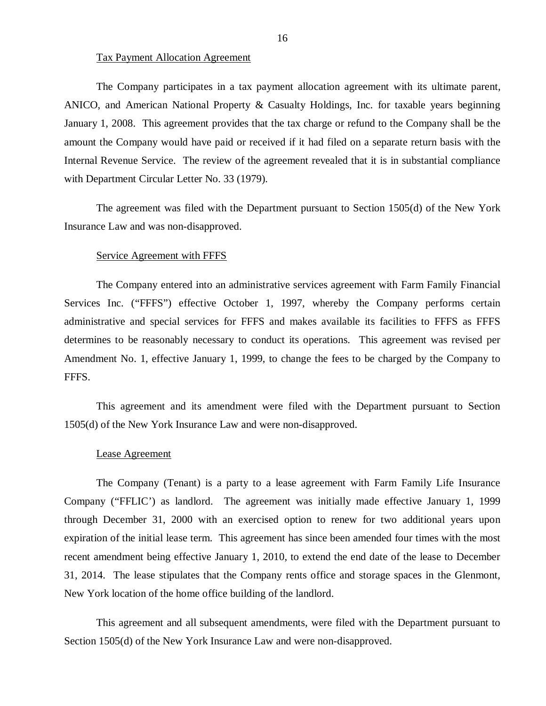### Tax Payment Allocation Agreement

The Company participates in a tax payment allocation agreement with its ultimate parent, ANICO, and American National Property & Casualty Holdings, Inc. for taxable years beginning January 1, 2008. This agreement provides that the tax charge or refund to the Company shall be the amount the Company would have paid or received if it had filed on a separate return basis with the Internal Revenue Service. The review of the agreement revealed that it is in substantial compliance with Department Circular Letter No. 33 (1979).

The agreement was filed with the Department pursuant to Section 1505(d) of the New York Insurance Law and was non-disapproved.

#### Service Agreement with FFFS

The Company entered into an administrative services agreement with Farm Family Financial Services Inc. ("FFFS") effective October 1, 1997, whereby the Company performs certain administrative and special services for FFFS and makes available its facilities to FFFS as FFFS determines to be reasonably necessary to conduct its operations. This agreement was revised per Amendment No. 1, effective January 1, 1999, to change the fees to be charged by the Company to FFFS.

This agreement and its amendment were filed with the Department pursuant to Section 1505(d) of the New York Insurance Law and were non-disapproved.

#### Lease Agreement

The Company (Tenant) is a party to a lease agreement with Farm Family Life Insurance Company ("FFLIC') as landlord. The agreement was initially made effective January 1, 1999 through December 31, 2000 with an exercised option to renew for two additional years upon expiration of the initial lease term. This agreement has since been amended four times with the most recent amendment being effective January 1, 2010, to extend the end date of the lease to December 31, 2014. The lease stipulates that the Company rents office and storage spaces in the Glenmont, New York location of the home office building of the landlord.

This agreement and all subsequent amendments, were filed with the Department pursuant to Section 1505(d) of the New York Insurance Law and were non-disapproved.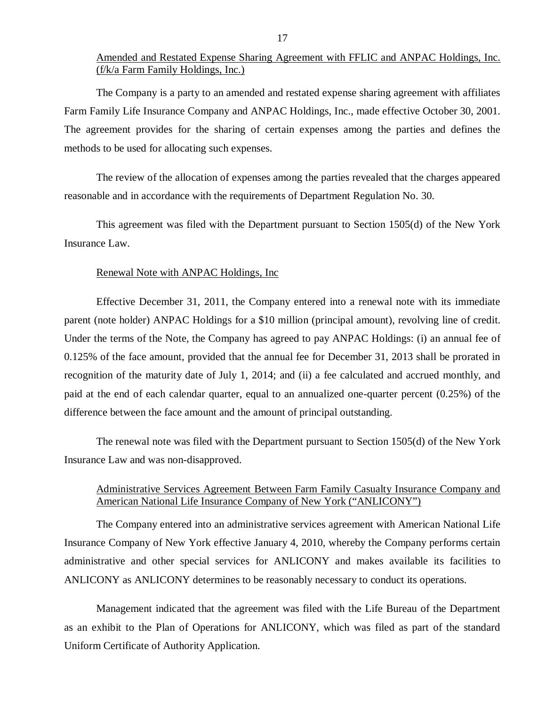### Amended and Restated Expense Sharing Agreement with FFLIC and ANPAC Holdings, Inc. (f/k/a Farm Family Holdings, Inc.)

The Company is a party to an amended and restated expense sharing agreement with affiliates Farm Family Life Insurance Company and ANPAC Holdings, Inc., made effective October 30, 2001. The agreement provides for the sharing of certain expenses among the parties and defines the methods to be used for allocating such expenses.

The review of the allocation of expenses among the parties revealed that the charges appeared reasonable and in accordance with the requirements of Department Regulation No. 30.

This agreement was filed with the Department pursuant to Section 1505(d) of the New York Insurance Law.

### Renewal Note with ANPAC Holdings, Inc

Effective December 31, 2011, the Company entered into a renewal note with its immediate parent (note holder) ANPAC Holdings for a \$10 million (principal amount), revolving line of credit. Under the terms of the Note, the Company has agreed to pay ANPAC Holdings: (i) an annual fee of 0.125% of the face amount, provided that the annual fee for December 31, 2013 shall be prorated in recognition of the maturity date of July 1, 2014; and (ii) a fee calculated and accrued monthly, and paid at the end of each calendar quarter, equal to an annualized one-quarter percent (0.25%) of the difference between the face amount and the amount of principal outstanding.

The renewal note was filed with the Department pursuant to Section 1505(d) of the New York Insurance Law and was non-disapproved.

### Administrative Services Agreement Between Farm Family Casualty Insurance Company and American National Life Insurance Company of New York ("ANLICONY")

The Company entered into an administrative services agreement with American National Life Insurance Company of New York effective January 4, 2010, whereby the Company performs certain administrative and other special services for ANLICONY and makes available its facilities to ANLICONY as ANLICONY determines to be reasonably necessary to conduct its operations.

Management indicated that the agreement was filed with the Life Bureau of the Department as an exhibit to the Plan of Operations for ANLICONY, which was filed as part of the standard Uniform Certificate of Authority Application.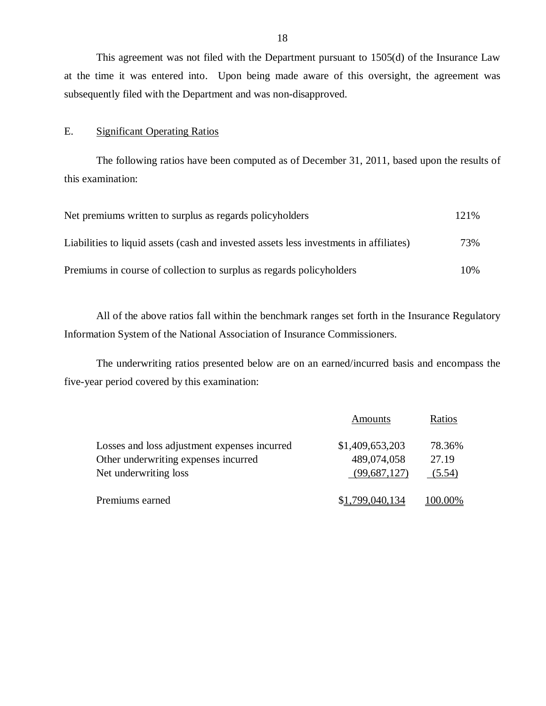This agreement was not filed with the Department pursuant to 1505(d) of the Insurance Law at the time it was entered into. Upon being made aware of this oversight, the agreement was subsequently filed with the Department and was non-disapproved.

### E. Significant Operating Ratios

The following ratios have been computed as of December 31, 2011, based upon the results of this examination:

| Net premiums written to surplus as regards policyholders                               |     |
|----------------------------------------------------------------------------------------|-----|
| Liabilities to liquid assets (cash and invested assets less investments in affiliates) | 73% |
| Premiums in course of collection to surplus as regards policyholders                   | 10% |

All of the above ratios fall within the benchmark ranges set forth in the Insurance Regulatory Information System of the National Association of Insurance Commissioners.

The underwriting ratios presented below are on an earned/incurred basis and encompass the five-year period covered by this examination:

|                                              | Amounts         | Ratios  |
|----------------------------------------------|-----------------|---------|
| Losses and loss adjustment expenses incurred | \$1,409,653,203 | 78.36%  |
| Other underwriting expenses incurred         | 489,074,058     | 27.19   |
| Net underwriting loss                        | (99,687,127)    | (5.54)  |
| Premiums earned                              | \$1,799,040,134 | 100.00% |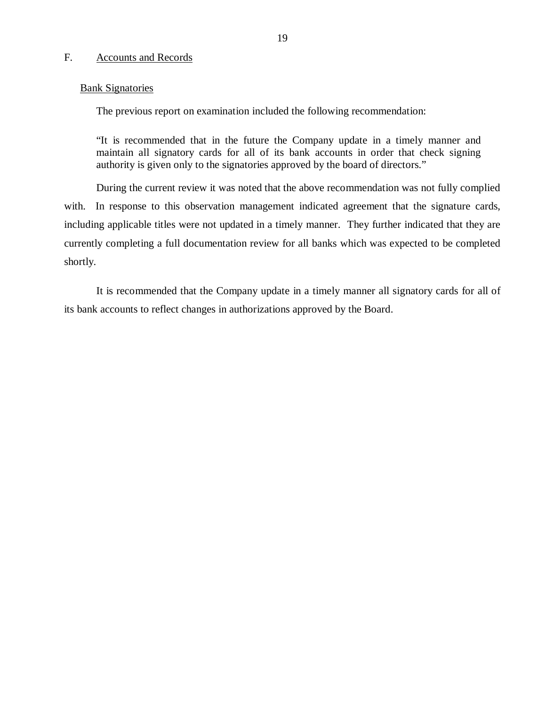#### F. Accounts and Records

### Bank Signatories

The previous report on examination included the following recommendation:

"It is recommended that in the future the Company update in a timely manner and maintain all signatory cards for all of its bank accounts in order that check signing authority is given only to the signatories approved by the board of directors."

During the current review it was noted that the above recommendation was not fully complied with. In response to this observation management indicated agreement that the signature cards, including applicable titles were not updated in a timely manner. They further indicated that they are currently completing a full documentation review for all banks which was expected to be completed shortly.

It is recommended that the Company update in a timely manner all signatory cards for all of its bank accounts to reflect changes in authorizations approved by the Board.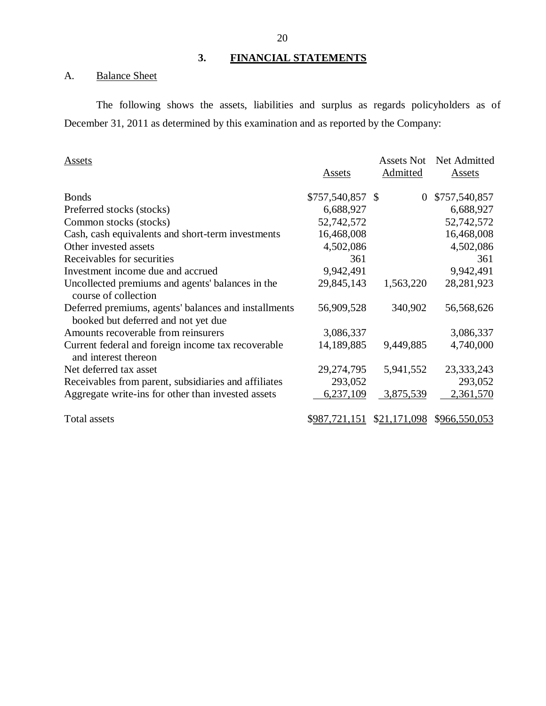### **3. FINANCIAL STATEMENTS**

## A. Balance Sheet

The following shows the assets, liabilities and surplus as regards policyholders as of December 31, 2011 as determined by this examination and as reported by the Company:

| Assets                                                                                      | Assets            | <b>Assets Not</b><br>Admitted | Net Admitted<br><b>Assets</b> |
|---------------------------------------------------------------------------------------------|-------------------|-------------------------------|-------------------------------|
| <b>Bonds</b>                                                                                | $$757,540,857$ \$ | $\overline{0}$                | \$757,540,857                 |
| Preferred stocks (stocks)                                                                   | 6,688,927         |                               | 6,688,927                     |
| Common stocks (stocks)                                                                      | 52,742,572        |                               | 52,742,572                    |
| Cash, cash equivalents and short-term investments                                           | 16,468,008        |                               | 16,468,008                    |
| Other invested assets                                                                       | 4,502,086         |                               | 4,502,086                     |
| Receivables for securities                                                                  | 361               |                               | 361                           |
| Investment income due and accrued                                                           | 9,942,491         |                               | 9,942,491                     |
| Uncollected premiums and agents' balances in the<br>course of collection                    | 29,845,143        | 1,563,220                     | 28, 281, 923                  |
| Deferred premiums, agents' balances and installments<br>booked but deferred and not yet due | 56,909,528        | 340,902                       | 56,568,626                    |
| Amounts recoverable from reinsurers                                                         | 3,086,337         |                               | 3,086,337                     |
| Current federal and foreign income tax recoverable<br>and interest thereon                  | 14,189,885        | 9,449,885                     | 4,740,000                     |
| Net deferred tax asset                                                                      | 29, 274, 795      | 5,941,552                     | 23, 333, 243                  |
| Receivables from parent, subsidiaries and affiliates                                        | 293,052           |                               | 293,052                       |
| Aggregate write-ins for other than invested assets                                          | 6,237,109         | 3,875,539                     | 2,361,570                     |
| <b>Total assets</b>                                                                         | \$987,721,151     | \$21,171,098                  | \$966,550,053                 |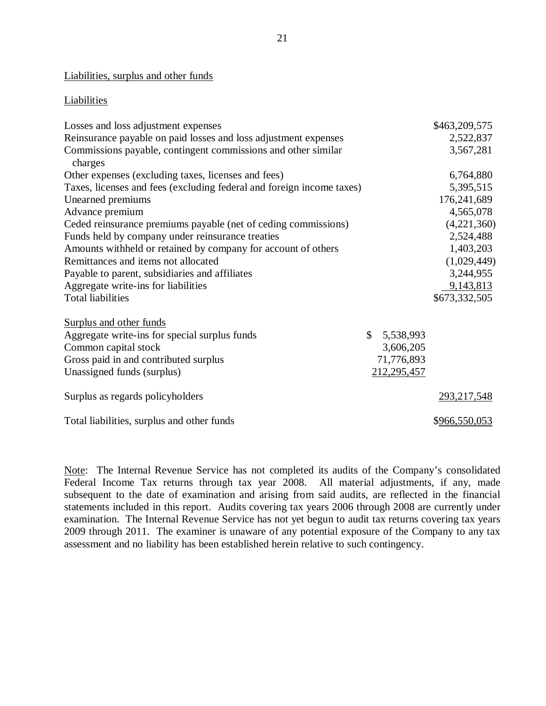### Liabilities, surplus and other funds

#### **Liabilities**

| Losses and loss adjustment expenses                                      |              |             | \$463,209,575 |
|--------------------------------------------------------------------------|--------------|-------------|---------------|
| Reinsurance payable on paid losses and loss adjustment expenses          |              |             | 2,522,837     |
| Commissions payable, contingent commissions and other similar<br>charges |              |             | 3,567,281     |
| Other expenses (excluding taxes, licenses and fees)                      |              |             | 6,764,880     |
| Taxes, licenses and fees (excluding federal and foreign income taxes)    |              |             | 5,395,515     |
| Unearned premiums                                                        |              |             | 176,241,689   |
| Advance premium                                                          |              |             | 4,565,078     |
| Ceded reinsurance premiums payable (net of ceding commissions)           |              |             | (4,221,360)   |
| Funds held by company under reinsurance treaties                         |              |             | 2,524,488     |
| Amounts withheld or retained by company for account of others            |              |             | 1,403,203     |
| Remittances and items not allocated                                      |              |             | (1,029,449)   |
| Payable to parent, subsidiaries and affiliates                           |              |             | 3,244,955     |
| Aggregate write-ins for liabilities                                      |              |             | 9,143,813     |
| <b>Total liabilities</b>                                                 |              |             | \$673,332,505 |
| Surplus and other funds                                                  |              |             |               |
| Aggregate write-ins for special surplus funds                            | $\mathbb{S}$ | 5,538,993   |               |
| Common capital stock                                                     |              | 3,606,205   |               |
| Gross paid in and contributed surplus                                    |              | 71,776,893  |               |
| Unassigned funds (surplus)                                               |              | 212,295,457 |               |
| Surplus as regards policyholders                                         |              |             | 293,217,548   |
| Total liabilities, surplus and other funds                               |              |             | \$966,550,053 |

Note: The Internal Revenue Service has not completed its audits of the Company's consolidated Federal Income Tax returns through tax year 2008. All material adjustments, if any, made subsequent to the date of examination and arising from said audits, are reflected in the financial statements included in this report. Audits covering tax years 2006 through 2008 are currently under examination. The Internal Revenue Service has not yet begun to audit tax returns covering tax years 2009 through 2011. The examiner is unaware of any potential exposure of the Company to any tax assessment and no liability has been established herein relative to such contingency.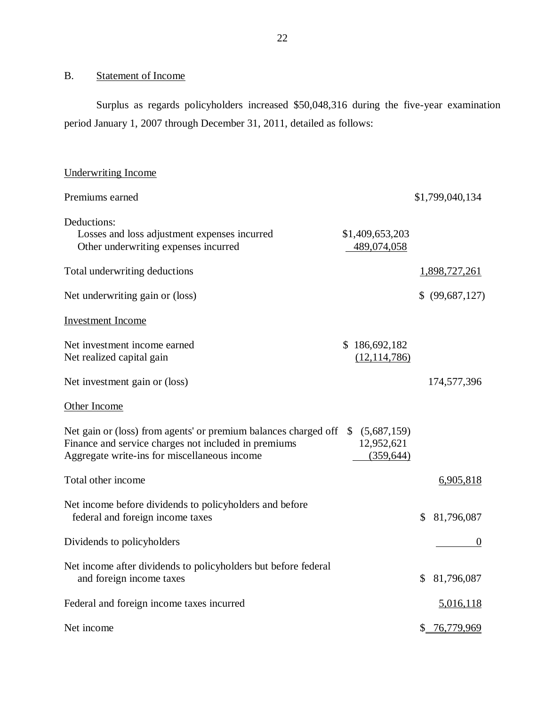#### <span id="page-23-0"></span>B. Statement of Income

Underwriting Income

Surplus as regards policyholders increased \$50,048,316 during the five-year examination period January 1, 2007 through December 31, 2011, detailed as follows:

# Premiums earned  $$1,799,040,134$ Deductions: Losses and loss adjustment expenses incurred \$1,409,653,203 Other underwriting expenses incurred 489,074,058 Total underwriting deductions 1,898,727,261 Net underwriting gain or (loss)  $\frac{1}{2}$  (99,687,127) Investment Income Net investment income earned \$ 186,692,182 Net realized capital gain (12,114,786) Net investment gain or (loss) 174,577,396 Other Income Net gain or (loss) from agents' or premium balances charged off  $$ (5,687,159)$ Finance and service charges not included in premiums 12,952,621 Aggregate write-ins for miscellaneous income (359,644) Total other income 6,905,818 Net income before dividends to policyholders and before federal and foreign income taxes  $$81,796,087$ Dividends to policyholders Net income after dividends to policyholders but before federal and foreign income taxes  $$81,796,087$ Federal and foreign income taxes incurred 5,016,118 Net income \$ 76,779,969 0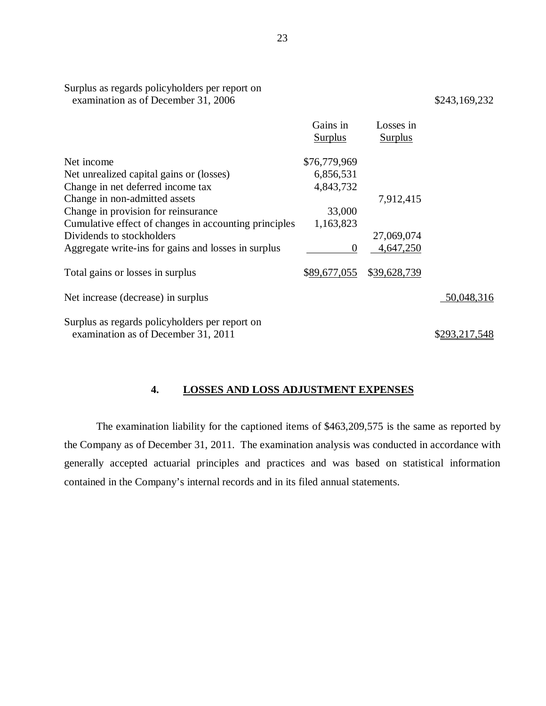|                                                                                       | Gains in<br><b>Surplus</b> | Losses in<br><b>Surplus</b> |               |
|---------------------------------------------------------------------------------------|----------------------------|-----------------------------|---------------|
|                                                                                       |                            |                             |               |
| Net income                                                                            | \$76,779,969               |                             |               |
| Net unrealized capital gains or (losses)                                              | 6,856,531                  |                             |               |
| Change in net deferred income tax                                                     | 4,843,732                  |                             |               |
| Change in non-admitted assets                                                         |                            | 7,912,415                   |               |
| Change in provision for reinsurance                                                   | 33,000                     |                             |               |
| Cumulative effect of changes in accounting principles                                 | 1,163,823                  |                             |               |
| Dividends to stockholders                                                             |                            | 27,069,074                  |               |
| Aggregate write-ins for gains and losses in surplus                                   | $\Omega$                   | 4,647,250                   |               |
| Total gains or losses in surplus                                                      | \$89,677,055               | \$39,628,739                |               |
| Net increase (decrease) in surplus                                                    |                            |                             | 50,048,316    |
|                                                                                       |                            |                             |               |
|                                                                                       |                            |                             |               |
| Surplus as regards policyholders per report on<br>examination as of December 31, 2011 |                            |                             | \$293,217,548 |

### **4. LOSSES AND LOSS ADJUSTMENT EXPENSES**

The examination liability for the captioned items of \$463,209,575 is the same as reported by the Company as of December 31, 2011. The examination analysis was conducted in accordance with generally accepted actuarial principles and practices and was based on statistical information contained in the Company's internal records and in its filed annual statements.

Surplus as regards policyholders per report on

examination as of December 31, 2006 \$243,169,232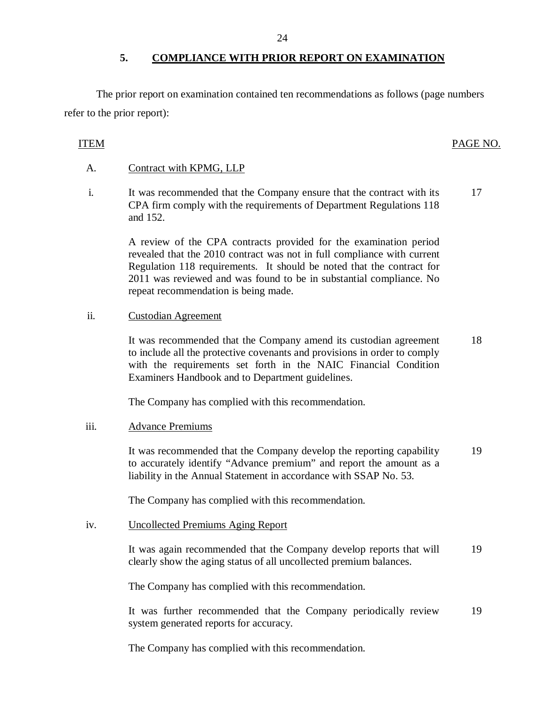### **5. COMPLIANCE WITH PRIOR REPORT ON EXAMINATION**

<span id="page-25-0"></span>The prior report on examination contained ten recommendations as follows (page numbers refer to the prior report):

## ITEM PAGE NO.

### A. Contract with KPMG, LLP

i. It was recommended that the Company ensure that the contract with its CPA firm comply with the requirements of Department Regulations 118 and 152. 17

> A review of the CPA contracts provided for the examination period revealed that the 2010 contract was not in full compliance with current Regulation 118 requirements. It should be noted that the contract for 2011 was reviewed and was found to be in substantial compliance. No repeat recommendation is being made.

### ii. Custodian Agreement

It was recommended that the Company amend its custodian agreement to include all the protective covenants and provisions in order to comply with the requirements set forth in the NAIC Financial Condition Examiners Handbook and to Department guidelines. 18

The Company has complied with this recommendation.

### iii. Advance Premiums

It was recommended that the Company develop the reporting capability to accurately identify "Advance premium" and report the amount as a liability in the Annual Statement in accordance with SSAP No. 53. 19

The Company has complied with this recommendation.

### iv. Uncollected Premiums Aging Report

It was again recommended that the Company develop reports that will clearly show the aging status of all uncollected premium balances. 19

The Company has complied with this recommendation.

It was further recommended that the Company periodically review system generated reports for accuracy. 19

The Company has complied with this recommendation.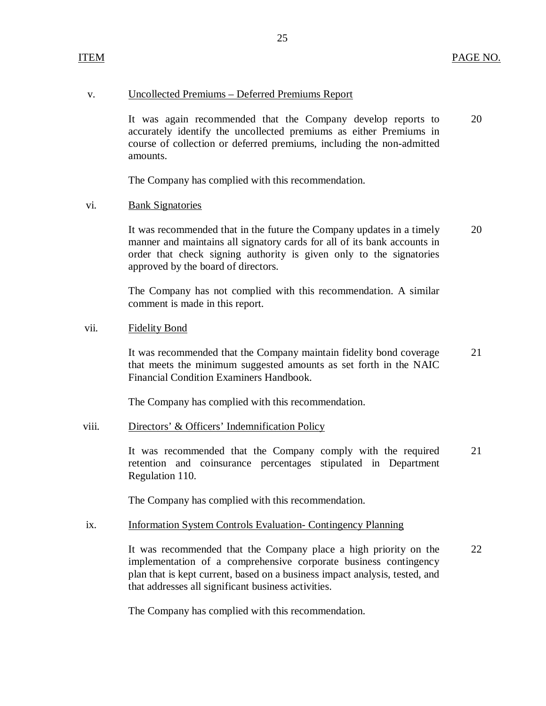### v. Uncollected Premiums – Deferred Premiums Report

It was again recommended that the Company develop reports to 20 accurately identify the uncollected premiums as either Premiums in course of collection or deferred premiums, including the non-admitted amounts.

25

The Company has complied with this recommendation.

### vi. Bank Signatories

It was recommended that in the future the Company updates in a timely 20 manner and maintains all signatory cards for all of its bank accounts in order that check signing authority is given only to the signatories approved by the board of directors.

The Company has not complied with this recommendation. A similar comment is made in this report.

### vii. Fidelity Bond

It was recommended that the Company maintain fidelity bond coverage 21 that meets the minimum suggested amounts as set forth in the NAIC Financial Condition Examiners Handbook.

The Company has complied with this recommendation.

### viii. Directors' & Officers' Indemnification Policy

It was recommended that the Company comply with the required 21 retention and coinsurance percentages stipulated in Department Regulation 110.

The Company has complied with this recommendation.

### ix. Information System Controls Evaluation- Contingency Planning

It was recommended that the Company place a high priority on the 22 implementation of a comprehensive corporate business contingency plan that is kept current, based on a business impact analysis, tested, and that addresses all significant business activities.

The Company has complied with this recommendation.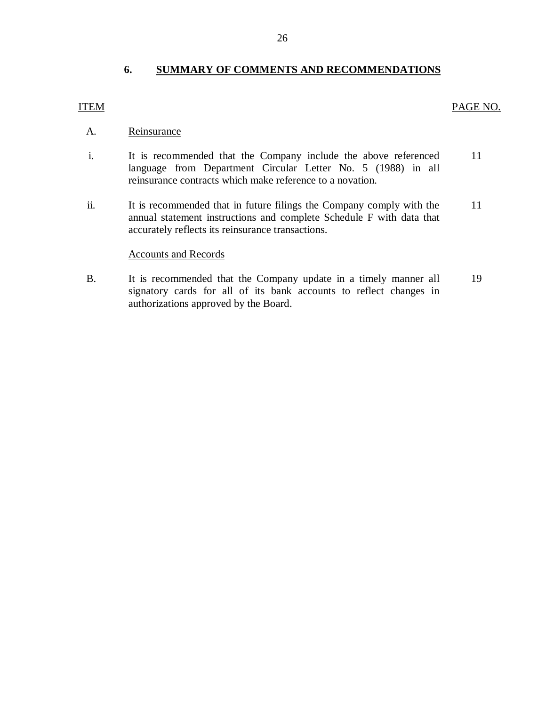### **6. SUMMARY OF COMMENTS AND RECOMMENDATIONS**

### ITEM PAGE NO.

- A. Reinsurance
- i. It is recommended that the Company include the above referenced language from Department Circular Letter No. 5 (1988) in all reinsurance contracts which make reference to a novation. 11
- ii. It is recommended that in future filings the Company comply with the annual statement instructions and complete Schedule F with data that accurately reflects its reinsurance transactions. 11

### Accounts and Records

B. It is recommended that the Company update in a timely manner all signatory cards for all of its bank accounts to reflect changes in authorizations approved by the Board. 19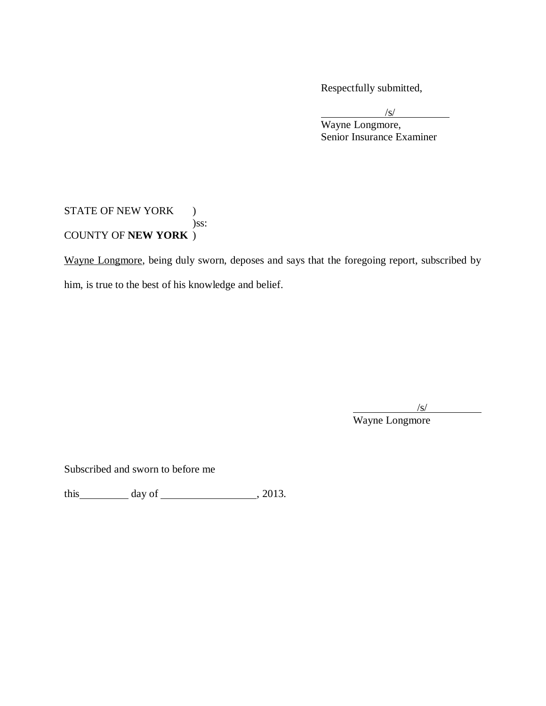Respectfully submitted,

/s/ Wayne Longmore, Senior Insurance Examiner

### STATE OF NEW YORK ) )ss: COUNTY OF **NEW YORK** )

Wayne Longmore, being duly sworn, deposes and says that the foregoing report, subscribed by him, is true to the best of his knowledge and belief.

/s/

Wayne Longmore

Subscribed and sworn to before me

this  $\_\_\_\_\_\$  day of  $\_\_\_\_\_\_\_\_\_\_\_\_$ , 2013.